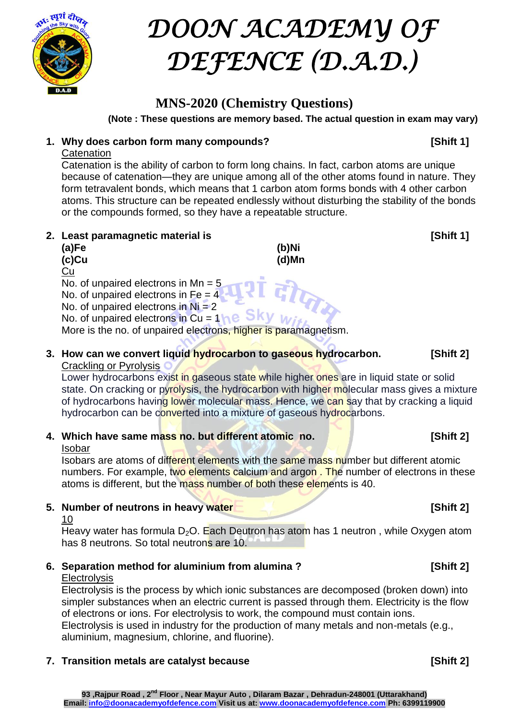

# *DOON ACADEMY OF DEFENCE (D.A.D.)*

# **MNS-2020 (Chemistry Questions)**

**(Note : These questions are memory based. The actual question in exam may vary)**

#### **1. Why does carbon form many compounds? [Shift 1]**

#### **Catenation**

Catenation is the ability of carbon to form long chains. In fact, carbon atoms are unique because of catenation—they are unique among all of the other atoms found in nature. They form tetravalent bonds, which means that 1 carbon atom forms bonds with 4 other carbon atoms. This structure can be repeated endlessly without disturbing the stability of the bonds or the compounds formed, so they have a repeatable structure.

#### **2.** Least paramagnetic material is **1996 1997 1998 1998 1998 1998 1998 1998 1999 1999 1999 1999 1999**

| (a)Fe | (b)Ni |
|-------|-------|
| (c)Cu | (d)Mn |
| Cu    |       |

No. of unpaired electrons in Mn =  $5$ 

No. of unpaired electrons in  $Fe = 4$ 

No. of unpaired electrons in  $Ni = 2$ No. of unpaired electrons in Cu =  $1he$  SKy  $w$ 

More is the no. of unpaired electrons, higher is paramagnetism.

#### **3. How can we convert liquid hydrocarbon to gaseous hydrocarbon. [Shift 2]** Crackling or Pyrolysis

Lower hydrocarbons exist in gaseous state while higher ones are in liquid state or solid state. On cracking or pyrolysis, the hydrocarbon with higher molecular mass gives a mixture of hydrocarbons having lower molecular mass. Hence, we can say that by cracking a liquid hydrocarbon can be converted into a mixture of gaseous hydrocarbons.

**4. Which have same mass no. but different atomic no. [Shift 2]**

#### Isobar

Isobars are atoms of different elements with the same mass number but different atomic numbers. For example, two elements calcium and argon. The number of electrons in these atoms is different, but the mass number of both these elements is 40.

**5. Number of neutrons in heavy water [Shift 2]**

#### 10

Heavy water has formula  $D_2O$ . Each Deutron has atom has 1 neutron, while Oxygen atom has 8 neutrons. So total neutrons are 10.

### **6. Separation method for aluminium from alumina ? [Shift 2]**

#### **Electrolysis**

Electrolysis is the process by which ionic substances are decomposed (broken down) into simpler substances when an electric current is passed through them. Electricity is the flow of electrons or ions. For electrolysis to work, the compound must contain ions. Electrolysis is used in industry for the production of many metals and non-metals (e.g., aluminium, magnesium, chlorine, and fluorine).

### **7. Transition metals are catalyst because [Shift 2]**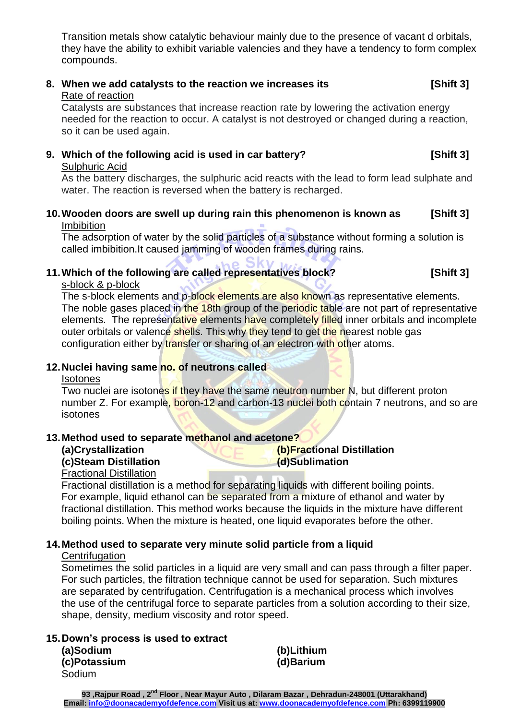Transition metals show catalytic behaviour mainly due to the presence of vacant d orbitals, they have the ability to exhibit variable valencies and they have a tendency to form complex compounds.

# **8. When we add catalysts to the reaction we increases its [Shift 3]**

Rate of reaction

Catalysts are substances that increase reaction rate by lowering the activation energy needed for the reaction to occur. A catalyst is not destroyed or changed during a reaction, so it can be used again.

## **9. Which of the following acid is used in car battery? [Shift 3]**

#### Sulphuric Acid

As the battery discharges, the sulphuric acid reacts with the lead to form lead sulphate and water. The reaction is reversed when the battery is recharged.

**10.Wooden doors are swell up during rain this phenomenon is known as [Shift 3]** Imbibition

The adsorption of water by the solid particles of a substance without forming a solution is called imbibition.It caused jamming of wooden frames during rains.

### **11.Which of the following are called representatives block? [Shift 3]**

#### s-block & p-block

The s-block elements and p-block elements are also known as representative elements. The noble gases placed in the 18th group of the periodic table are not part of representative elements. The representative elements have completely filled inner orbitals and incomplete outer orbitals or valence shells. This why they tend to get the nearest noble gas configuration either by transfer or sharing of an electron with other atoms.

#### **12.Nuclei having same no. of neutrons called**

#### **Isotones**

Two nuclei are isotones if they have the same [neutron number](https://en.wikipedia.org/wiki/Neutron_number) N, but different proton [number](https://en.wikipedia.org/wiki/Proton_number) Z. For example, [boron-12](https://en.wikipedia.org/wiki/Isotopes_of_boron) and [carbon-13](https://en.wikipedia.org/wiki/Carbon-13) nuclei both contain 7 [neutrons,](https://en.wikipedia.org/wiki/Neutron) and so are isotones

#### **13.Method used to separate methanol and acetone?**

#### **(a)Crystallization (b)Fractional Distillation (c)Steam Distillation (d)Sublimation**

### Fractional Distillation

Fractional distillation is a method for separating liquids with different boiling points. For example, liquid ethanol can be separated from a mixture of ethanol and water by fractional distillation. This method works because the liquids in the mixture have different boiling points. When the mixture is heated, one liquid evaporates before the other.

#### **14.Method used to separate very minute solid particle from a liquid**

#### **Centrifugation**

Sometimes the solid particles in a liquid are very small and can pass through a filter paper. For such particles, the filtration technique cannot be used for separation. Such mixtures are separated by centrifugation. Centrifugation is a mechanical process which involves the use of the centrifugal force to separate particles from a solution according to their size, shape, density, medium viscosity and rotor speed.

#### **15.Down's process is used to extract**

**(a)Sodium (b)Lithium (c)Potassium (d)Barium** Sodium